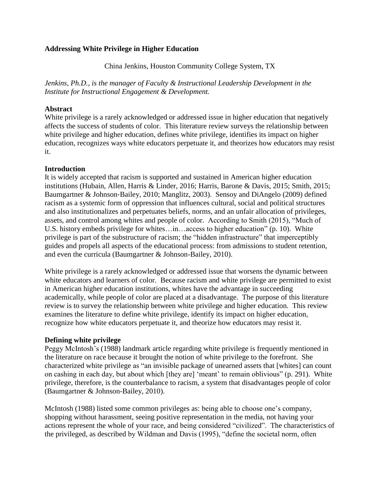### **Addressing White Privilege in Higher Education**

China Jenkins, Houston Community College System, TX

*Jenkins, Ph.D., is the manager of Faculty & Instructional Leadership Development in the Institute for Instructional Engagement & Development.*

### **Abstract**

White privilege is a rarely acknowledged or addressed issue in higher education that negatively affects the success of students of color. This literature review surveys the relationship between white privilege and higher education, defines white privilege, identifies its impact on higher education, recognizes ways white educators perpetuate it, and theorizes how educators may resist it.

# **Introduction**

It is widely accepted that racism is supported and sustained in American higher education institutions (Hubain, Allen, Harris & Linder, 2016; Harris, Barone & Davis, 2015; Smith, 2015; Baumgartner & Johnson‐Bailey, 2010; Manglitz, 2003). Sensoy and DiAngelo (2009) defined racism as a systemic form of oppression that influences cultural, social and political structures and also institutionalizes and perpetuates beliefs, norms, and an unfair allocation of privileges, assets, and control among whites and people of color. According to Smith (2015), "Much of U.S. history embeds privilege for whites…in…access to higher education" (p. 10). White privilege is part of the substructure of racism; the "hidden infrastructure" that imperceptibly guides and propels all aspects of the educational process: from admissions to student retention, and even the curricula (Baumgartner & Johnson-Bailey, 2010).

White privilege is a rarely acknowledged or addressed issue that worsens the dynamic between white educators and learners of color. Because racism and white privilege are permitted to exist in American higher education institutions, whites have the advantage in succeeding academically, while people of color are placed at a disadvantage. The purpose of this literature review is to survey the relationship between white privilege and higher education. This review examines the literature to define white privilege, identify its impact on higher education, recognize how white educators perpetuate it, and theorize how educators may resist it.

### **Defining white privilege**

Peggy McIntosh's (1988) landmark article regarding white privilege is frequently mentioned in the literature on race because it brought the notion of white privilege to the forefront. She characterized white privilege as "an invisible package of unearned assets that [whites] can count on cashing in each day, but about which [they are] 'meant' to remain oblivious" (p. 291). White privilege, therefore, is the counterbalance to racism, a system that disadvantages people of color (Baumgartner & Johnson-Bailey, 2010).

McIntosh (1988) listed some common privileges as: being able to choose one's company, shopping without harassment, seeing positive representation in the media, not having your actions represent the whole of your race, and being considered "civilized". The characteristics of the privileged, as described by Wildman and Davis (1995), "define the societal norm, often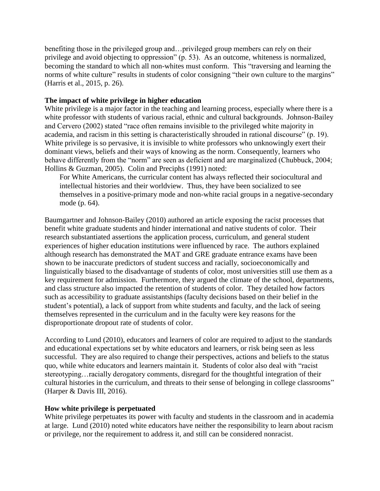benefiting those in the privileged group and…privileged group members can rely on their privilege and avoid objecting to oppression" (p. 53). As an outcome, whiteness is normalized, becoming the standard to which all non-whites must conform. This "traversing and learning the norms of white culture" results in students of color consigning "their own culture to the margins" (Harris et al., 2015, p. 26).

# **The impact of white privilege in higher education**

White privilege is a major factor in the teaching and learning process, especially where there is a white professor with students of various racial, ethnic and cultural backgrounds. Johnson-Bailey and Cervero (2002) stated "race often remains invisible to the privileged white majority in academia, and racism in this setting is characteristically shrouded in rational discourse" (p. 19). White privilege is so pervasive, it is invisible to white professors who unknowingly exert their dominant views, beliefs and their ways of knowing as the norm. Consequently, learners who behave differently from the "norm" are seen as deficient and are marginalized (Chubbuck, 2004; Hollins & Guzman, 2005). Colin and Preciphs (1991) noted:

For White Americans, the curricular content has always reflected their sociocultural and intellectual histories and their worldview. Thus, they have been socialized to see themselves in a positive-primary mode and non-white racial groups in a negative-secondary mode (p. 64).

Baumgartner and Johnson-Bailey (2010) authored an article exposing the racist processes that benefit white graduate students and hinder international and native students of color. Their research substantiated assertions the application process, curriculum, and general student experiences of higher education institutions were influenced by race. The authors explained although research has demonstrated the MAT and GRE graduate entrance exams have been shown to be inaccurate predictors of student success and racially, socioeconomically and linguistically biased to the disadvantage of students of color, most universities still use them as a key requirement for admission. Furthermore, they argued the climate of the school, departments, and class structure also impacted the retention of students of color. They detailed how factors such as accessibility to graduate assistantships (faculty decisions based on their belief in the student's potential), a lack of support from white students and faculty, and the lack of seeing themselves represented in the curriculum and in the faculty were key reasons for the disproportionate dropout rate of students of color.

According to Lund (2010), educators and learners of color are required to adjust to the standards and educational expectations set by white educators and learners, or risk being seen as less successful. They are also required to change their perspectives, actions and beliefs to the status quo, while white educators and learners maintain it. Students of color also deal with "racist stereotyping…racially derogatory comments, disregard for the thoughtful integration of their cultural histories in the curriculum, and threats to their sense of belonging in college classrooms" (Harper & Davis III, 2016).

### **How white privilege is perpetuated**

White privilege perpetuates its power with faculty and students in the classroom and in academia at large. Lund (2010) noted white educators have neither the responsibility to learn about racism or privilege, nor the requirement to address it, and still can be considered nonracist.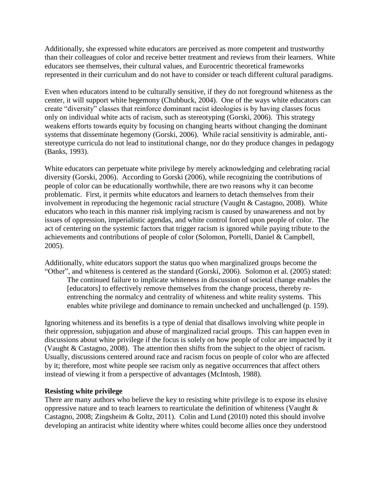Additionally, she expressed white educators are perceived as more competent and trustworthy than their colleagues of color and receive better treatment and reviews from their learners. White educators see themselves, their cultural values, and Eurocentric theoretical frameworks represented in their curriculum and do not have to consider or teach different cultural paradigms.

Even when educators intend to be culturally sensitive, if they do not foreground whiteness as the center, it will support white hegemony (Chubbuck, 2004). One of the ways white educators can create "diversity" classes that reinforce dominant racist ideologies is by having classes focus only on individual white acts of racism, such as stereotyping (Gorski, 2006). This strategy weakens efforts towards equity by focusing on changing hearts without changing the dominant systems that disseminate hegemony (Gorski, 2006). While racial sensitivity is admirable, antistereotype curricula do not lead to institutional change, nor do they produce changes in pedagogy (Banks, 1993).

White educators can perpetuate white privilege by merely acknowledging and celebrating racial diversity (Gorski, 2006). According to Gorski (2006), while recognizing the contributions of people of color can be educationally worthwhile, there are two reasons why it can become problematic. First, it permits white educators and learners to detach themselves from their involvement in reproducing the hegemonic racial structure (Vaught & Castagno, 2008). White educators who teach in this manner risk implying racism is caused by unawareness and not by issues of oppression, imperialistic agendas, and white control forced upon people of color. The act of centering on the systemic factors that trigger racism is ignored while paying tribute to the achievements and contributions of people of color (Solomon, Portelli, Daniel & Campbell, 2005).

Additionally, white educators support the status quo when marginalized groups become the "Other", and whiteness is centered as the standard (Gorski, 2006). Solomon et al. (2005) stated:

The continued failure to implicate whiteness in discussion of societal change enables the [educators] to effectively remove themselves from the change process, thereby reentrenching the normalcy and centrality of whiteness and white reality systems. This enables white privilege and dominance to remain unchecked and unchallenged (p. 159).

Ignoring whiteness and its benefits is a type of denial that disallows involving white people in their oppression, subjugation and abuse of marginalized racial groups. This can happen even in discussions about white privilege if the focus is solely on how people of color are impacted by it (Vaught & Castagno, 2008). The attention then shifts from the subject to the object of racism. Usually, discussions centered around race and racism focus on people of color who are affected by it; therefore, most white people see racism only as negative occurrences that affect others instead of viewing it from a perspective of advantages (McIntosh, 1988).

### **Resisting white privilege**

There are many authors who believe the key to resisting white privilege is to expose its elusive oppressive nature and to teach learners to rearticulate the definition of whiteness (Vaught  $\&$ Castagno, 2008; Zingsheim & Goltz, 2011). Colin and Lund (2010) noted this should involve developing an antiracist white identity where whites could become allies once they understood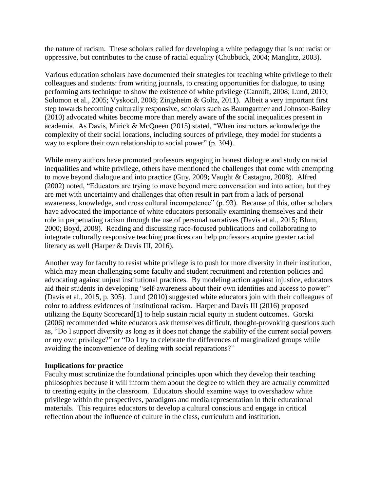the nature of racism. These scholars called for developing a white pedagogy that is not racist or oppressive, but contributes to the cause of racial equality (Chubbuck, 2004; Manglitz, 2003).

Various education scholars have documented their strategies for teaching white privilege to their colleagues and students: from writing journals, to creating opportunities for dialogue, to using performing arts technique to show the existence of white privilege (Canniff, 2008; Lund, 2010; Solomon et al., 2005; Vyskocil, 2008; Zingsheim & Goltz, 2011). Albeit a very important first step towards becoming culturally responsive, scholars such as Baumgartner and Johnson-Bailey (2010) advocated whites become more than merely aware of the social inequalities present in academia. As Davis, Mirick & McQueen (2015) stated, "When instructors acknowledge the complexity of their social locations, including sources of privilege, they model for students a way to explore their own relationship to social power" (p. 304).

While many authors have promoted professors engaging in honest dialogue and study on racial inequalities and white privilege, others have mentioned the challenges that come with attempting to move beyond dialogue and into practice (Guy, 2009; Vaught & Castagno, 2008). Alfred (2002) noted, "Educators are trying to move beyond mere conversation and into action, but they are met with uncertainty and challenges that often result in part from a lack of personal awareness, knowledge, and cross cultural incompetence" (p. 93). Because of this, other scholars have advocated the importance of white educators personally examining themselves and their role in perpetuating racism through the use of personal narratives (Davis et al., 2015; Blum, 2000; Boyd, 2008). Reading and discussing race-focused publications and collaborating to integrate culturally responsive teaching practices can help professors acquire greater racial literacy as well (Harper & Davis III, 2016).

Another way for faculty to resist white privilege is to push for more diversity in their institution, which may mean challenging some faculty and student recruitment and retention policies and advocating against unjust institutional practices. By modeling action against injustice, educators aid their students in developing "self-awareness about their own identities and access to power" (Davis et al., 2015, p. 305). Lund (2010) suggested white educators join with their colleagues of color to address evidences of institutional racism. Harper and Davis III (2016) proposed utilizing the Equity Scorecard[1] to help sustain racial equity in student outcomes. Gorski (2006) recommended white educators ask themselves difficult, thought-provoking questions such as, "Do I support diversity as long as it does not change the stability of the current social powers or my own privilege?" or "Do I try to celebrate the differences of marginalized groups while avoiding the inconvenience of dealing with social reparations?"

### **Implications for practice**

Faculty must scrutinize the foundational principles upon which they develop their teaching philosophies because it will inform them about the degree to which they are actually committed to creating equity in the classroom. Educators should examine ways to overshadow white privilege within the perspectives, paradigms and media representation in their educational materials. This requires educators to develop a cultural conscious and engage in critical reflection about the influence of culture in the class, curriculum and institution.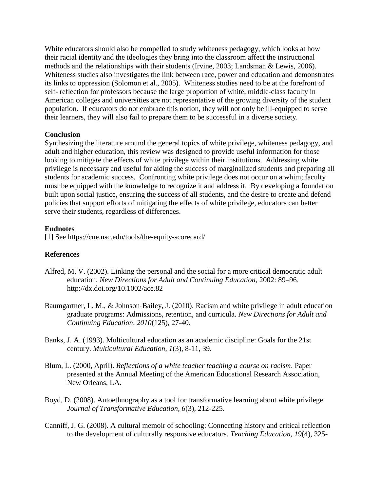White educators should also be compelled to study whiteness pedagogy, which looks at how their racial identity and the ideologies they bring into the classroom affect the instructional methods and the relationships with their students (Irvine, 2003; Landsman & Lewis, 2006). Whiteness studies also investigates the link between race, power and education and demonstrates its links to oppression (Solomon et al., 2005). Whiteness studies need to be at the forefront of self- reflection for professors because the large proportion of white, middle-class faculty in American colleges and universities are not representative of the growing diversity of the student population. If educators do not embrace this notion, they will not only be ill-equipped to serve their learners, they will also fail to prepare them to be successful in a diverse society.

### **Conclusion**

Synthesizing the literature around the general topics of white privilege, whiteness pedagogy, and adult and higher education, this review was designed to provide useful information for those looking to mitigate the effects of white privilege within their institutions. Addressing white privilege is necessary and useful for aiding the success of marginalized students and preparing all students for academic success. Confronting white privilege does not occur on a whim; faculty must be equipped with the knowledge to recognize it and address it. By developing a foundation built upon social justice, ensuring the success of all students, and the desire to create and defend policies that support efforts of mitigating the effects of white privilege, educators can better serve their students, regardless of differences.

#### **Endnotes**

[1] See https://cue.usc.edu/tools/the-equity-scorecard/

### **References**

- Alfred, M. V. (2002). Linking the personal and the social for a more critical democratic adult education. *New Directions for Adult and Continuing Education*, 2002: 89–96. http://dx.doi.org/10.1002/ace.82
- Baumgartner, L. M., & Johnson‐Bailey, J. (2010). Racism and white privilege in adult education graduate programs: Admissions, retention, and curricula. *New Directions for Adult and Continuing Education, 2010*(125), 27-40.
- Banks, J. A. (1993). Multicultural education as an academic discipline: Goals for the 21st century. *Multicultural Education, 1*(3), 8-11, 39.
- Blum, L. (2000, April). *Reflections of a white teacher teaching a course on racism*. Paper presented at the Annual Meeting of the American Educational Research Association, New Orleans, LA.
- Boyd, D. (2008). Autoethnography as a tool for transformative learning about white privilege. *Journal of Transformative Education, 6*(3), 212-225.
- Canniff, J. G. (2008). A cultural memoir of schooling: Connecting history and critical reflection to the development of culturally responsive educators. *Teaching Education, 19*(4), 325-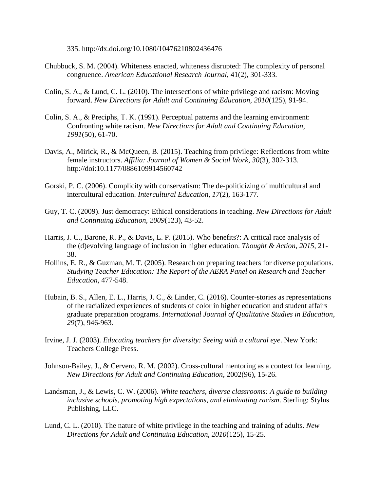335. http://dx.doi.org/10.1080/10476210802436476

- Chubbuck, S. M. (2004). Whiteness enacted, whiteness disrupted: The complexity of personal congruence. *American Educational Research Journal*, 41(2), 301-333.
- Colin, S. A., & Lund, C. L. (2010). The intersections of white privilege and racism: Moving forward. *New Directions for Adult and Continuing Education, 2010*(125), 91-94.
- Colin, S. A., & Preciphs, T. K. (1991). Perceptual patterns and the learning environment: Confronting white racism. *New Directions for Adult and Continuing Education, 1991*(50), 61-70.
- Davis, A., Mirick, R., & McQueen, B. (2015). Teaching from privilege: Reflections from white female instructors. *Affilia: Journal of Women & Social Work*, *30*(3), 302-313. http://doi:10.1177/0886109914560742
- Gorski, P. C. (2006). Complicity with conservatism: The de‐politicizing of multicultural and intercultural education. *Intercultural Education, 17*(2), 163-177.
- Guy, T. C. (2009). Just democracy: Ethical considerations in teaching. *New Directions for Adult and Continuing Education, 2009*(123), 43-52.
- Harris, J. C., Barone, R. P., & Davis, L. P. (2015). Who benefits?: A critical race analysis of the (d)evolving language of inclusion in higher education. *Thought & Action*, *2015*, 21- 38.
- Hollins, E. R., & Guzman, M. T. (2005). Research on preparing teachers for diverse populations. *Studying Teacher Education: The Report of the AERA Panel on Research and Teacher Education*, 477-548.
- Hubain, B. S., Allen, E. L., Harris, J. C., & Linder, C. (2016). Counter-stories as representations of the racialized experiences of students of color in higher education and student affairs graduate preparation programs. *International Journal of Qualitative Studies in Education*, *29*(7), 946-963.
- Irvine, J. J. (2003). *Educating teachers for diversity: Seeing with a cultural eye*. New York: Teachers College Press.
- Johnson-Bailey, J., & Cervero, R. M. (2002). Cross-cultural mentoring as a context for learning. *New Directions for Adult and Continuing Education*, 2002(96), 15-26.
- Landsman, J., & Lewis, C. W. (2006). *White teachers, diverse classrooms: A guide to building inclusive schools, promoting high expectations, and eliminating racism*. Sterling: Stylus Publishing, LLC.
- Lund, C. L. (2010). The nature of white privilege in the teaching and training of adults. *New Directions for Adult and Continuing Education, 2010*(125), 15-25.